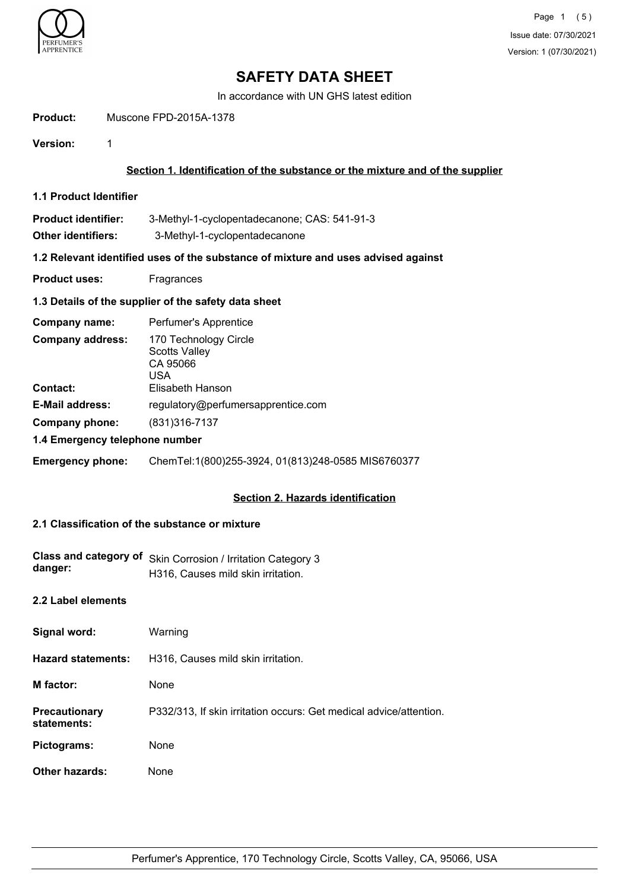

In accordance with UN GHS latest edition

**Product:** Muscone FPD-2015A-1378

**Version:** 1

## **Section 1. Identification of the substance or the mixture and of the supplier**

- **1.1 Product Identifier**
- **Product identifier:** 3-Methyl-1-cyclopentadecanone; CAS: 541-91-3
- **Other identifiers:** 3-Methyl-1-cyclopentadecanone

#### **1.2 Relevant identified uses of the substance of mixture and uses advised against**

**Product uses:** Fragrances

## **1.3 Details of the supplier of the safety data sheet**

| Company name:                              | Perfumer's Apprentice                                                                |  |
|--------------------------------------------|--------------------------------------------------------------------------------------|--|
| <b>Company address:</b><br><b>Contact:</b> | 170 Technology Circle<br><b>Scotts Valley</b><br>CA 95066<br>USA<br>Elisabeth Hanson |  |
| <b>E-Mail address:</b>                     | regulatory@perfumersapprentice.com                                                   |  |
| Company phone:                             | (831) 316-7137                                                                       |  |
| 1.4 Emergency telephone number             |                                                                                      |  |

**Emergency phone:** ChemTel:1(800)255-3924, 01(813)248-0585 MIS6760377

## **Section 2. Hazards identification**

## **2.1 Classification of the substance or mixture**

| Class and category of<br>danger:    | Skin Corrosion / Irritation Category 3<br>H316, Causes mild skin irritation. |
|-------------------------------------|------------------------------------------------------------------------------|
| 2.2 Label elements                  |                                                                              |
| Signal word:                        | Warning                                                                      |
| <b>Hazard statements:</b>           | H316, Causes mild skin irritation.                                           |
| M factor:                           | None                                                                         |
| <b>Precautionary</b><br>statements: | P332/313, If skin irritation occurs: Get medical advice/attention.           |
| Pictograms:                         | None                                                                         |
| Other hazards:                      | None                                                                         |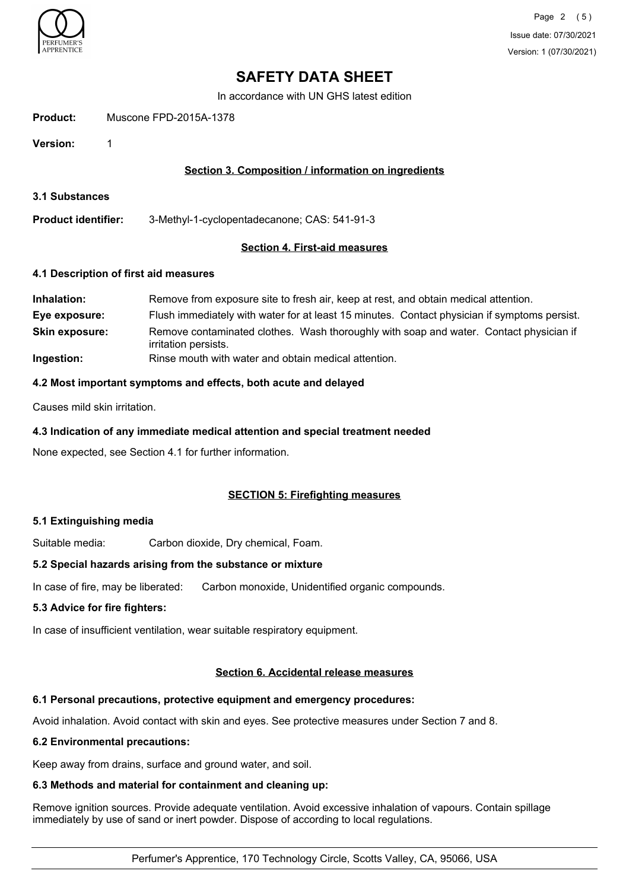

In accordance with UN GHS latest edition

**Product:** Muscone FPD-2015A-1378

**Version:** 1

## **Section 3. Composition / information on ingredients**

**3.1 Substances**

**Product identifier:** 3-Methyl-1-cyclopentadecanone; CAS: 541-91-3

## **Section 4. First-aid measures**

#### **4.1 Description of first aid measures**

| Inhalation:           | Remove from exposure site to fresh air, keep at rest, and obtain medical attention.                            |  |
|-----------------------|----------------------------------------------------------------------------------------------------------------|--|
| Eye exposure:         | Flush immediately with water for at least 15 minutes. Contact physician if symptoms persist.                   |  |
| <b>Skin exposure:</b> | Remove contaminated clothes. Wash thoroughly with soap and water. Contact physician if<br>irritation persists. |  |
| Ingestion:            | Rinse mouth with water and obtain medical attention.                                                           |  |

## **4.2 Most important symptoms and effects, both acute and delayed**

Causes mild skin irritation.

## **4.3 Indication of any immediate medical attention and special treatment needed**

None expected, see Section 4.1 for further information.

## **SECTION 5: Firefighting measures**

## **5.1 Extinguishing media**

Suitable media: Carbon dioxide, Dry chemical, Foam.

#### **5.2 Special hazards arising from the substance or mixture**

In case of fire, may be liberated: Carbon monoxide, Unidentified organic compounds.

## **5.3 Advice for fire fighters:**

In case of insufficient ventilation, wear suitable respiratory equipment.

## **Section 6. Accidental release measures**

## **6.1 Personal precautions, protective equipment and emergency procedures:**

Avoid inhalation. Avoid contact with skin and eyes. See protective measures under Section 7 and 8.

#### **6.2 Environmental precautions:**

Keep away from drains, surface and ground water, and soil.

#### **6.3 Methods and material for containment and cleaning up:**

Remove ignition sources. Provide adequate ventilation. Avoid excessive inhalation of vapours. Contain spillage immediately by use of sand or inert powder. Dispose of according to local regulations.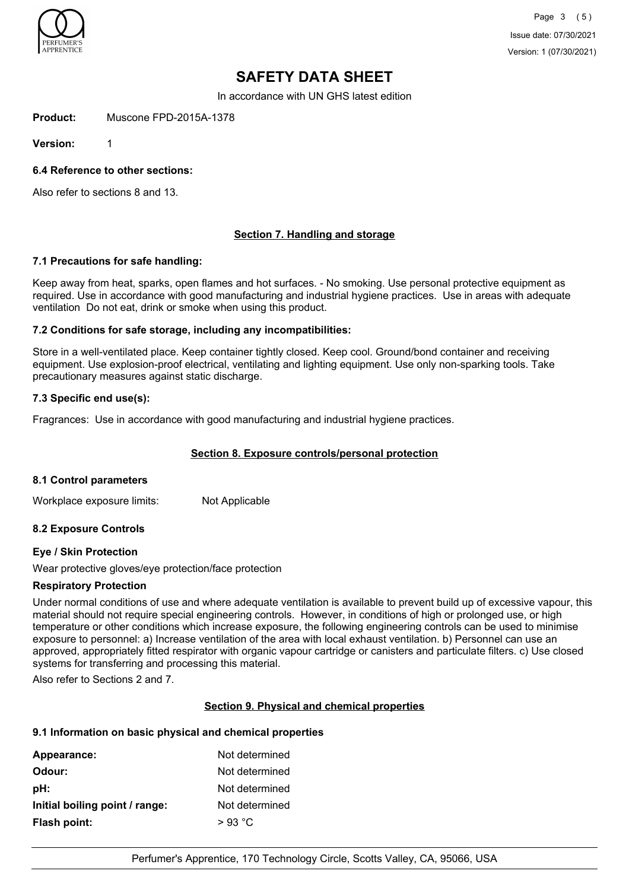

In accordance with UN GHS latest edition

**Product:** Muscone FPD-2015A-1378

**Version:** 1

**6.4 Reference to other sections:**

Also refer to sections 8 and 13.

## **Section 7. Handling and storage**

#### **7.1 Precautions for safe handling:**

Keep away from heat, sparks, open flames and hot surfaces. - No smoking. Use personal protective equipment as required. Use in accordance with good manufacturing and industrial hygiene practices. Use in areas with adequate ventilation Do not eat, drink or smoke when using this product.

#### **7.2 Conditions for safe storage, including any incompatibilities:**

Store in a well-ventilated place. Keep container tightly closed. Keep cool. Ground/bond container and receiving equipment. Use explosion-proof electrical, ventilating and lighting equipment. Use only non-sparking tools. Take precautionary measures against static discharge.

## **7.3 Specific end use(s):**

Fragrances: Use in accordance with good manufacturing and industrial hygiene practices.

## **Section 8. Exposure controls/personal protection**

#### **8.1 Control parameters**

Workplace exposure limits: Not Applicable

## **8.2 Exposure Controls**

## **Eye / Skin Protection**

Wear protective gloves/eye protection/face protection

#### **Respiratory Protection**

Under normal conditions of use and where adequate ventilation is available to prevent build up of excessive vapour, this material should not require special engineering controls. However, in conditions of high or prolonged use, or high temperature or other conditions which increase exposure, the following engineering controls can be used to minimise exposure to personnel: a) Increase ventilation of the area with local exhaust ventilation. b) Personnel can use an approved, appropriately fitted respirator with organic vapour cartridge or canisters and particulate filters. c) Use closed systems for transferring and processing this material.

Also refer to Sections 2 and 7.

## **Section 9. Physical and chemical properties**

## **9.1 Information on basic physical and chemical properties**

| Appearance:                    | Not determined |
|--------------------------------|----------------|
| Odour:                         | Not determined |
| pH:                            | Not determined |
| Initial boiling point / range: | Not determined |
| Flash point:                   | $>93$ °C       |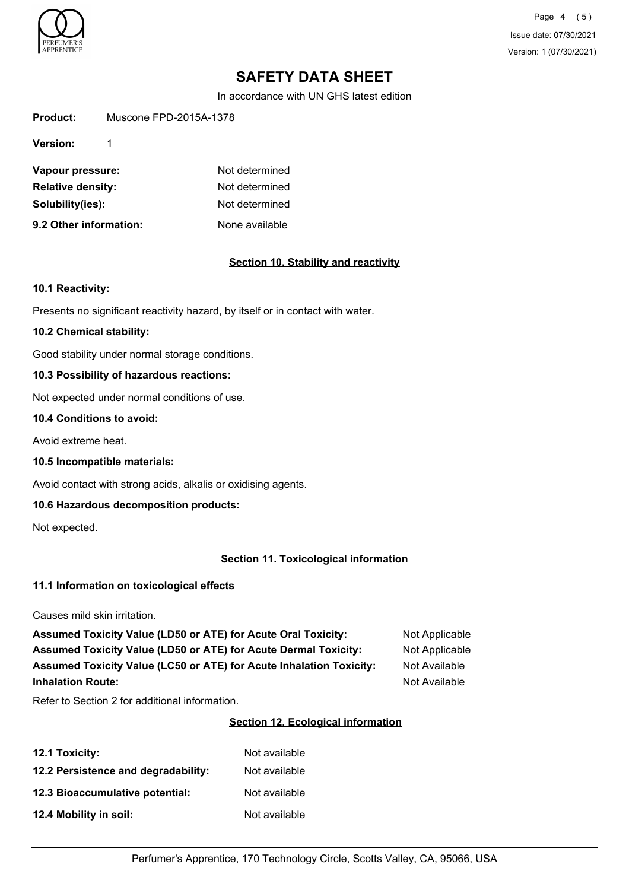

Page 4 (5) Issue date: 07/30/2021 Version: 1 (07/30/2021)

# **SAFETY DATA SHEET**

In accordance with UN GHS latest edition

**Product:** Muscone FPD-2015A-1378

**Version:** 1

| Vapour pressure:         | Not determined |
|--------------------------|----------------|
| <b>Relative density:</b> | Not determined |
| Solubility(ies):         | Not determined |
| 9.2 Other information:   | None available |

#### **Section 10. Stability and reactivity**

#### **10.1 Reactivity:**

Presents no significant reactivity hazard, by itself or in contact with water.

#### **10.2 Chemical stability:**

Good stability under normal storage conditions.

## **10.3 Possibility of hazardous reactions:**

Not expected under normal conditions of use.

#### **10.4 Conditions to avoid:**

Avoid extreme heat.

**10.5 Incompatible materials:**

Avoid contact with strong acids, alkalis or oxidising agents.

## **10.6 Hazardous decomposition products:**

Not expected.

## **Section 11. Toxicological information**

## **11.1 Information on toxicological effects**

Causes mild skin irritation.

Assumed Toxicity Value (LD50 or ATE) for Acute Oral Toxicity: Not Applicable Assumed Toxicity Value (LD50 or ATE) for Acute Dermal Toxicity: Not Applicable **Assumed Toxicity Value (LC50 or ATE) for Acute Inhalation Toxicity:** Not Available **Inhalation Route:** Not Available **Not Available** 

Refer to Section 2 for additional information.

## **Section 12. Ecological information**

| 12.1 Toxicity:                      | Not available |
|-------------------------------------|---------------|
| 12.2 Persistence and degradability: | Not available |
| 12.3 Bioaccumulative potential:     | Not available |
| 12.4 Mobility in soil:              | Not available |